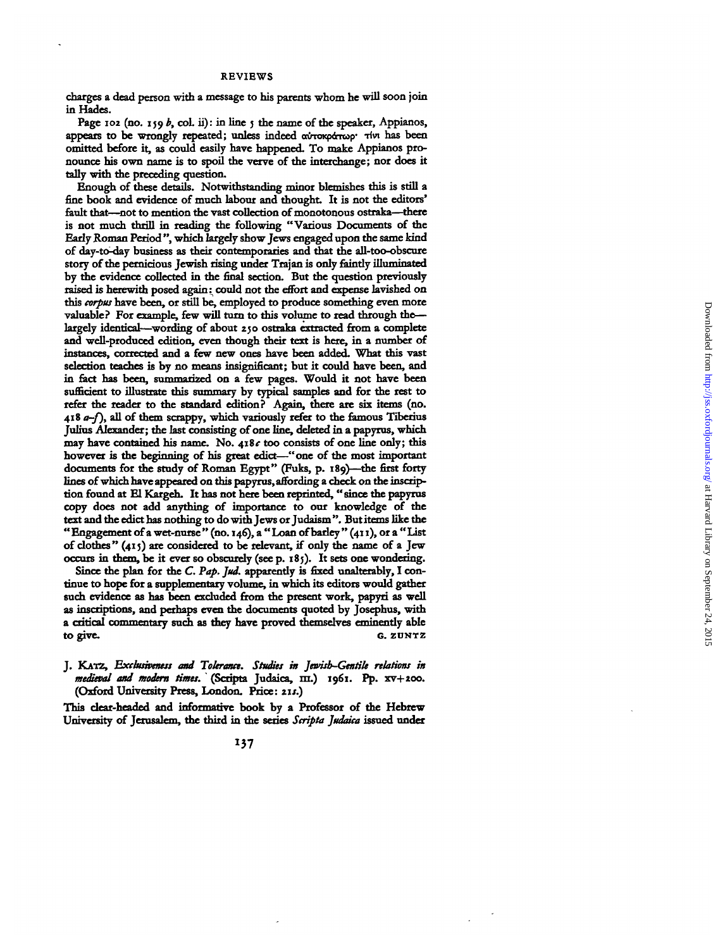charges a dead person with a message to his parents whom he will soon join **i n Hades .**

Page 102 (no. 159 *b*, col. ii): in line 5 the name of the speaker, Appianos, appears to be wrongly repeated; unless indeed  $\alpha$ *i*-roxp *ivi* has been **omitted before it, as could easily have happened. To make Appianos pro**nounce his own name is to spoil the verve of the interchange; nor does it tally with the preceding question.

**Enoug h o f thes e details . Notwithstandin g mino r blemishe s thi s i s stil l a** fine book and evidence of much labour and thought. It is not the editors' fault that—not to mention the vast collection of monotonous ostraka—there is not much thrill in reading the following "Various Documents of the Early Roman Period", which largely show Jews engaged upon the same kind **o f day-to-day busines s a s thei r contemporarie s an d tha t th e all-too-obscur e** story of the pernicious Jewish rising under Trajan is only faintly illuminated by the evidence collected in the final section. But the question previously raised is herewith posed again: could not the effort and expense lavished on this *corpus* have been, or still be, employed to produce something even more valuable? For example, few will turn to this volume to read through thelargely identical—wording of about 250 ostraka extracted from a complete and well-produced edition, even though their text is here, in a number of instances. corrected and a few new ones have been added. What this vast selection teaches is by no means insignificant: but it could have been, and in fact has been, summarized on a few pages. Would it not have been sufficient to illustrate this summary by typical samples and for the rest to **refer the reader to the standard edition?** Again, there are six items (no. **41 8** *a—f),* **al l o f the m scrappy , whic h variousl y refer t o th e famou s Tiberiu s** In this Alexander: the last consisting of one line, deleted in a papyrus, which **one is not allowed to the construct of** the consists of one line only: this however is the beginning of his great edict—"one of the most important **documents fo r th e stud y o f Roman Egypt " (Fuks , p . 189)—th e first forty lines** of which have appeared on this papyrus affording a check on the inscription found at El Kargeh. It has not here heen reprinted "since the napyrus **copy** does not add anything of importance to our boomledge of the tort and the edict has nothing to do with Laws or Indoism<sup>39</sup> But items like the **e**  $\mathbf{F}_{\text{max}}$  and the mean  $\mathbf{F}_{\text{max}}$  (no  $\mathbf{F}_{\text{max}}$ ) and  $\mathbf{F}_{\text{max}}$  (i.e.)  $\mathbf{F}_{\text{max}}$  (i.e.) and interest of a metal annual  $\mathbf{F}_{\text{max}}$  (i.e.) and interest of a metal annual  $\mathbf{F}_{\text{max}}$  (i.e.) and inte **f** algebra <sup>n</sup> (100) are considered to be relevant if only the name of a law  $\sigma$  them is it considered to be retevant, if only the name of a jew

Since the plan for the C. Pap. Jud. apparently is fixed unalterably, I con**tinue to hope for a supplementary volume, in which its editors would gather** such evidence as has been excluded from the present work, papyri as well as inscriptions, and perhaps even the documents quoted by Josephus, with a critical commentary such as they have proved themselves eminently able **t o give C.** ZUNTZ

**J . KATZ ,** *Excbtshettess and Tolerance. Studies in Jewish-Gentile relations in medieval and modern times.* **\* (Scripta Judaica , m. ) 1961 . Pp . xv+200 (Oxfor d University Press , London . Price :** *us.)*

**Thi s dear-heade d an d informativ e boo k b y a Professo r o f di e Hebre w** University of Jerusalem, the third in the series Scripta Judaica issued under